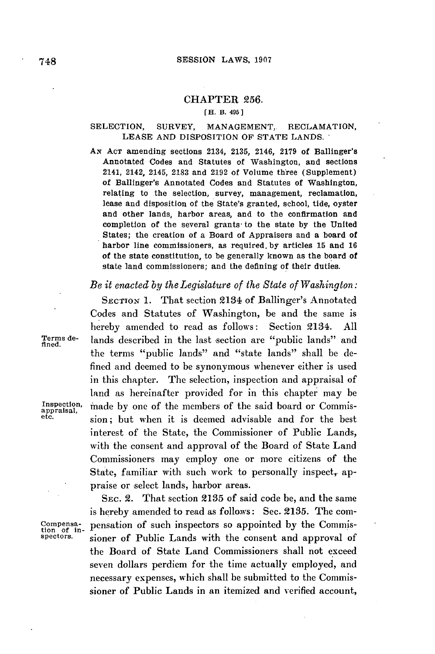## **CHAPTER 256.**

## [H. **13.** 495 **]**

#### SELECTION, SURVEY, **MANAGEMENT,** RECLAMATION, **LEASE AND** DISPOSITION OF **STATE LANDS.**

AN **ACT** amending sections 2134, **2135,** 2146, **2179** of Ballinger's Annotated Codes and Statutes of Washington, and sections 2141, 2142, 2145, **2183** and **2192** of Volume three (Supplement) of Ballinger's Annotated Codes and Statutes of Washington, relating to the selection, survey, management, reclamation, lease and disposition of the State's granted, school, tide, oyster and other lands, harbor areas, and to the confirmation and completion of the several grants- to the state **by** the United States; the creation of a Board of Appraisers and a board of harbor line commissioners, as required. by articles **15** and **16** of the state constitution, to be generally known as the board of state land commissioners; and the defining of their duties.

# *Be it enacted by the Legislature of the State of Washington:*

**SECTION 1.** That section 2134 of Ballinger's Annotated Codes and Statutes of Washington, be and the same is hereby amended to read as follows: Section 2134. **All** Terms de- lands described in the last section are "public lands" and fined. the terms "public lands" and "state lands" shall be defined and deemed to be synonymous whenever either is used in this chapter. The selection, inspection and appraisal of land as hereinafter provided for in this chapter may be Inspection, made by one of the members of the said board or Commis-<br>etc.<br>sion: but when it is deemed advisable and for the heat sion; but when it is deemed advisable and for the best interest of the State, the Commissioner of Public Lands, with the consent and approval of the Board of State Land Commissioners may employ one or more citizens of the State, familiar with such work to personally inspect, appraise or select lands, harbor areas.

**SEC.** 2. That section **2135** of said code be, and the same is hereby amended to read as follows: Sec. **2135.** The comcompensa-<br>tion of in-<br>spectors. signer of Public Lands with the consent and approval of sioner of Public Lands with the consent and approval of the Board of State Land Commissioners shall not exceed seven dollars perdiem for the time actually employed, and necessary expenses, which shall be submitted to the Commissioner of Public Lands in an itemized and verified account,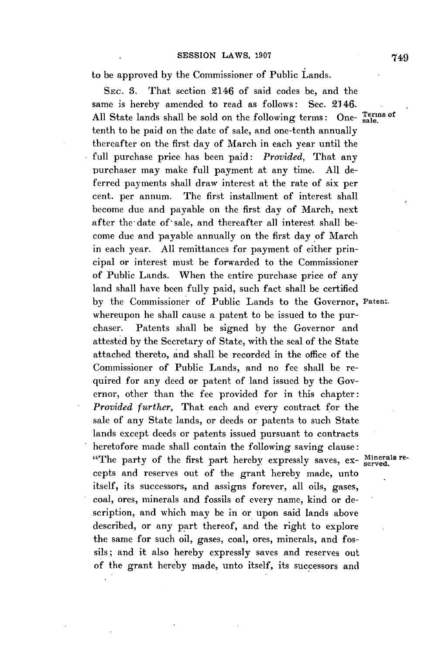to be approved **by** the Commissioner of Public Lands.

**SEc. 3.** That section 2146 of said codes be, and the same is hereby amended to read as follows: Sec. 2146. All State lands shall be sold on the following terms: One- sale. tenth to be paid on the date of sale, and one-tenth annually thereafter on the first day of March in each year until the full purchase price has been paid: *Provided,* That any purchaser may make full payment at any time. **All** deferred payments shall draw interest at the rate of six per cent. per annum. The first installment of interest shall become due and payable on the first day of March, next after the date of sale, and thereafter all interest shall become due and payable annually on the first day of March in each year. **All** remittances for payment of either principal or interest must be forwarded to the Commissioner of Public Lands. When the entire purchase price of any land shall have been fully paid, such fact shall **be** certified **by** the Commissioner of Public Lands to the Governor, **Patent.** whereupon he shall cause a patent to be issued to the purchaser. Patents shall be signed **by** the Governor and attested **by** the Secretary of State, with the seal of the State attached thereto, and shall be recorded in the office of the Commissioner of Public Lands, and no fee shall be required for any deed or patent of land issued **by** the Governor, other than the fee provided for in this chapter: *Provided further,* That each and every contract for the sale of any State lands, or deeds or patents to such State lands except deeds or patents issued pursuant to contracts heretofore made shall contain the following saving clause: "The party of the first part hereby expressly saves, ex- Minerals recepts and reserves out of the grant hereby made, unto itself, its successors, and assigns forever, all oils, gases, coal, ores, minerals and fossils of every name, kind or description, and which may be in or upon said lands above described, or any part thereof, and the right to explore the same for such oil, gases, coal, ores, minerals, and fossils; and it also hereby expressly saves and reserves out **of** the grant hereby made, unto itself, its successors and

749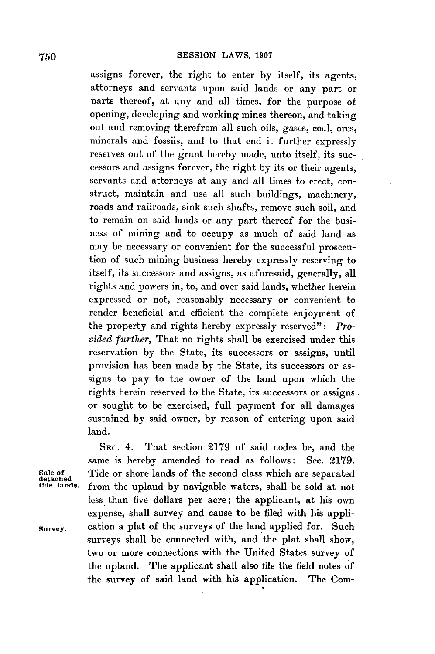assigns forever, the right to enter **by** itself, its agents, attorneys and servants upon said lands or any part or parts thereof, at any and all times, for the purpose of opening, developing and working mines thereon, and taking out and removing therefrom all such oils, gases, coal, ores, minerals and fossils, and to that end it further expressly reserves out of the grant hereby made, unto itself, its successors and assigns forever, the right **by** its or their agents, servants and attorneys at any and all times to erect, construct, maintain and use all such buildings, machinery, roads and railroads, sink such shafts, remove such soil, and to remain on said lands or any part thereof for the business of mining and to occupy as much of said land as may be necessary or convenient for the successful prosecution of such mining business hereby expressly reserving to itself, its successors and assigns, as aforesaid, generally, all rights and powers in, to, and over said lands, whether herein expressed or not, reasonably necessary or convenient to render beneficial and efficient the complete enjoyment of the property and rights hereby expressly reserved": *Provided further,* That no rights shall be exercised under this reservation **by** the State, its successors or assigns, until provision has been made **by** the State, its successors or assigns to pay to the owner of the land upon which the rights herein reserved to the State, its successors or assigns or sought to be exercised, full payment for all damages sustained by said owner, **by** reason of entering upon said land.

**SEc.** 4. That section **2179** of said codes be, and the same is hereby amended to read as follows: Sec. **2179.** Sale of **Tide or shore lands of the second class which are separated detached**<br>detached *from the upland by navigable waters* shall be sold at not from the upland by navigable waters, shall be sold at not less than five dollars per acre; the applicant, at his own expense, shall survey and cause to be filed with his appli**survey.** cation a plat of the surveys of the land applied for. Such surveys shall be connected with, and the plat shall show, two or more connections with the United States survey of the upland. The applicant shall also file the field notes **of** the survey of said land with his application. The Com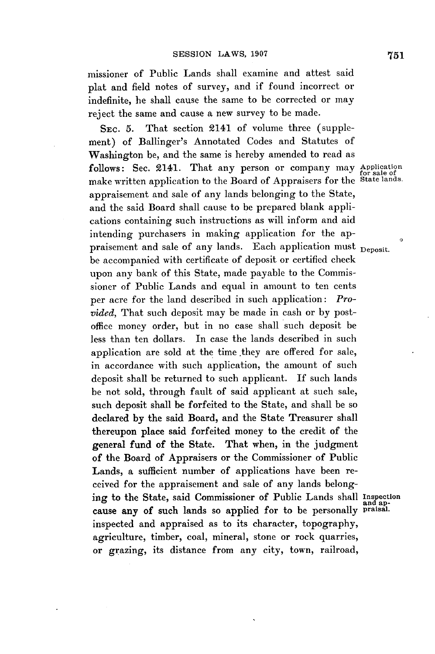missioner of Public Lands shall examine and attest said plat and field notes of survey, and if found incorrect or indefinite, he shall cause the same to be corrected or may reject the same and cause a new survey to be made.

**SEC. 5.** That section 2141 of volume three (supplement) of Ballinger's Annotated Codes and Statutes of Washington be, and the same is hereby amended to read as follows: Sec. 2141. That any person or company may Application make written application to the Board of Appraisers for the State lands. appraisement and sale of any lands belonging to the State, and the said Board shall cause to be prepared blank applications containing such instructions as will inform and aid intending purchasers in making application for the appraisement and sale of any lands. Each application must <sub>Deposit.</sub> be accompanied with certificate of deposit or certified check upon any bank of this State, made payable to the Commissioner of Public Lands and equal in amount to ten cents per acre for the land described in such application: *Provided,* That such deposit may be made in cash or **by** postoffice money order, but in no case shall such deposit be less than ten dollars. In case the lands described in such application are sold at the time they are offered for sale, in accordance with such application, the amount of such deposit shall be returned to such applicant. **If** such lands be not sold, through fault of said applicant at such sale, such deposit shall be forfeited to the State, and shall be so declared **by** the said Board, and the State Treasurer shall thereupon place said forfeited money to the credit of the general fund of the State. That when, in the judgment of the Board of Appraisers or the Commissioner of Public Lands, a sufficient number of applications have been received for the appraisement and sale of any lands belonging to the State, said Commissioner of Public Lands shall Inspection and ap-cause any of such lands so applied for to be personally **praisal.** inspected and appraised as to its character, topography, agriculture, timber, coal, mineral, stone or rock quarries, or grazing, its distance from any city, town, railroad,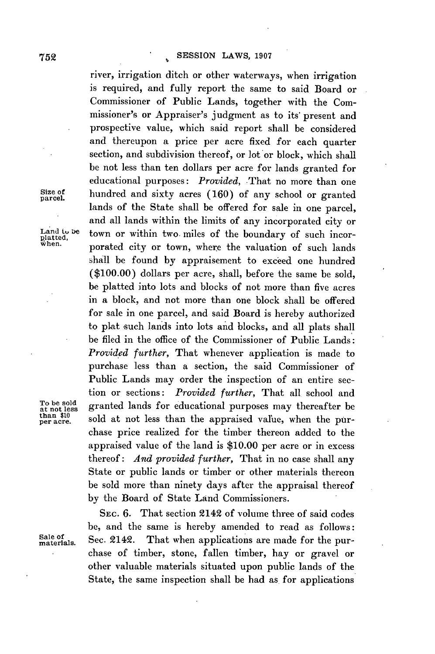river, irrigation ditch or other waterways, when irrigation is required, and fully report the same to said Board or Commissioner of Public Lands, together with the Commissioner's or Appraiser's judgment as to its' present and prospective value, which said report shall be considered and thereupon a price per acre fixed for each quarter section, and subdivision thereof, or lot or block, which shall be not less than ten dollars per acre for lands granted for educational purposes: *Provided,* That no more than one **of** hundred and sixty acres **(160)** of any school or granted lands of the State shall be offered for sale in one parcel, and all lands within the limits of any incorporated city or Land to be town or within two miles of the boundary of such incor-<br>platted,<br>when, **properted** gity or town, where the voluntion of such lands **when.** porated city or town, where the valuation of such lands shall be found **by** appraisement to exceed one hundred **(\$100.00)** dollars per acre, shall, before the same be sold, be platted into lots and blocks of not more than five acres in a block, and not more than one block shall be offered for sale in one parcel, and said Board is hereby authorized to plat such lands into lots and blocks, and all plats shall be filed in the office of the Commissioner of Public Lands: *Provided further,* That whenever application is made to purchase less than a section, the said Commissioner of Public Lands may order the inspection of an entire section or sections: *Provided further,* That all school and granted lands for educational purposes may thereafter be than \$10 **11**<br>per acre. sold at not less than the appraised value, when the purchase price realized for the timber thereon added to the appraised value of the land is **\$10.00** per acre or in excess thereof: *And provided further,* That in no case shall any State or public lands or timber or other materials thereon be sold more than ninety days after the appraisal thereof **by** the Board of State Land Commissioners.

**SEC. 6.** That section 2142 of volume three of said codes be, and the same is hereby amended to read as follows: Sale of Sec. 2142. That when applications are made for the purchase of timber, stone, fallen timber, hay or gravel or other valuable materials situated upon public lands of the State, the same inspection shall be had as for applications

Size of parcel.

To be sold<br>at not less<br>than \$10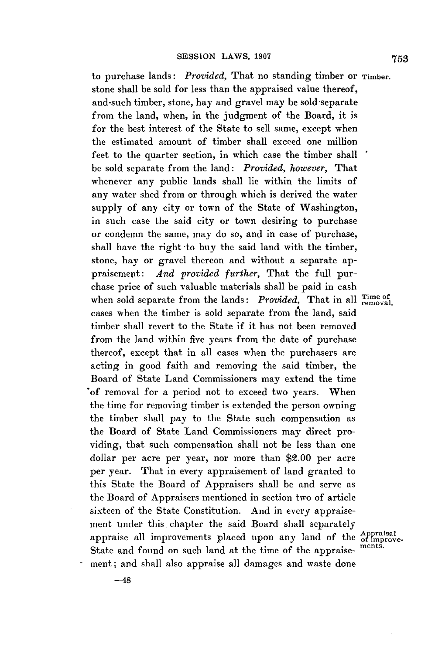to purchase lands: *Provided,* That no standing timber or **Timber.** stone shall be sold for less than the appraised value thereof, and-such timber, stone, hay and gravel may be sold separate from the land, when, in the judgment of the Board, it is for the best interest of the State to sell same, except when the estimated amount of timber shall exceed one million feet to the quarter section, in which case the timber shall be sold separate from the land: *Provided, however,* That whenever any public lands shall lie within the limits of any water shed from or through which is derived the water supply of any city or town of the State of Washington, in such case the said city or town desiring to purchase or condemn the same, may do so, and in case of purchase, shall have the right -to buy the said land with the timber, stone, hay or gravel thereon and without a separate appraisement: *And provided further,* That the full purchase price of such valuable materials shall be paid in cash when sold separate from the lands: *Provided*, That in all Time of provided. cases when the timber is sold separate from the land, said timber shall revert to the State if it has not been removed from the land within five years from the date of purchase thereof, except that in all cases when the purchasers are acting in good faith and removing the said timber, the Board of State Land Commissioners may extend the time of removal for a period not to exceed two years. When the time for removing timber is extended the person owning the timber shall pay to the State such compensation as the Board of State Land Commissioners may direct providing, that such compensation shall not be less than one dollar per acre per year, nor more than \$2.00 per acre per year. That in every appraisement of land granted to this State the Board of Appraisers shall be and serve as the Board of Appraisers mentioned in section two of article sixteen of the State Constitution. And in every appraisement under this chapter the said Board shall separately appraise all improvements placed upon any land of the *Appraisal*<br>State and found an such land at the time of the councils ments. State and found on such land at the time of the appraisement; and shall also appraise all damages and waste done

**753**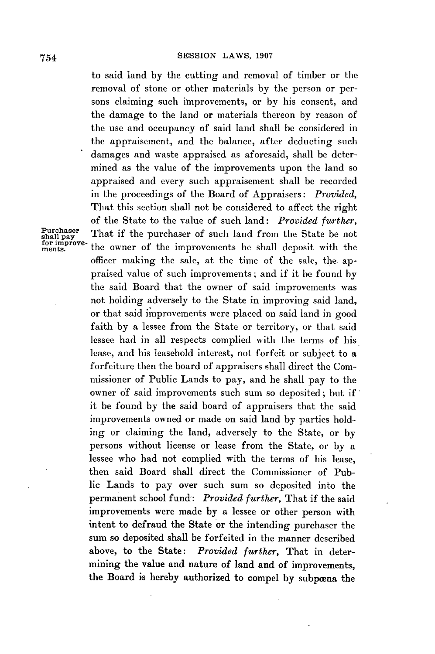to said land **by** the cutting and removal of timber or the removal of stone or other materials **by** the person or persons claiming such improvements, or **by** his consent, and the damage to the land or materials thereon **by** reason of the use and occupancy of said land shall be considered in the appraisement, and the balance, after deducting such damages and waste appraised as aforesaid, shall **be** determined as the value of the improvements upon the land so appraised and every such appraisement shall **be** recorded in the proceedings of the Board of Appraisers: *Provided,* That this section shall not be considered to affect the right of the State to the value of such land: *Provided further,* Purchaser That if the purchaser of such land from the State be not the owner of the improvements he shall deposit with the officer making the sale, at the time of the sale, the appraised value of such improvements; and if it be found **by** the said Board that the owner of said improvements was not holding adversely to the State in improving said land, or that said improvements were placed on said land in good faith **by** a lessee from the State or territory, or that said lessee had in all respects complied with the terms of his lease, and his leasehold interest, not forfeit or subject to a forfeiture then the board of appraisers shall direct the Commissioner of Public Lands to pay, and he shall pay to the owner **of** said improvements such sum so deposited; but if it be found **by** the said board of appraisers that the said improvements owned or made on said land **by** parties holding or claiming the land, adversely to the State, or **by** persons without license or lease from the State, or **by** a lessee who had not complied with the terms of his lease, then said Board shall direct the Commissioner of Public Lands to pay over such sum so deposited into the permanent school fund: *Provided further,* That if the said improvements were made **by** a lessee or other person with intent to defraud the State or the intending purchaser the sum so deposited shall be forfeited in the manner described above, to the State: *Provided further,* That in determining the value and nature of land and of improvements, the Board is hereby authorized to compel **by** subpoena the

Purchaser<br>shall pay<br>for improve-<br>ments.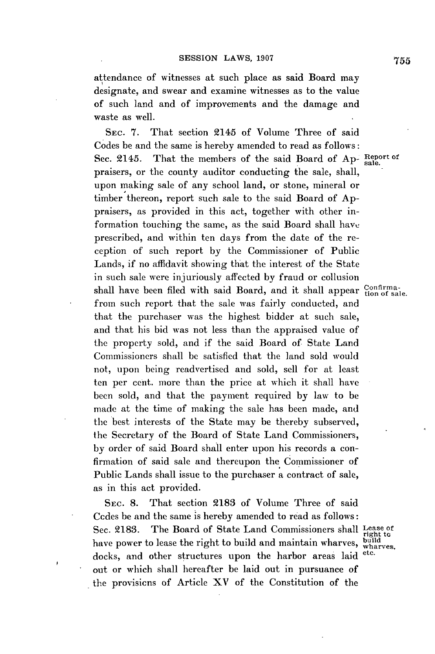attendance of witnesses at such place as said Board may designate, and swear and examine witnesses as to the value of such land and of improvements and the damage and waste as well.

**SEC. 7.** That section 2145 of Volume Three of said Codes be and the same is hereby amended to read as follows: Sec. 2145. That the members of the said Board of Ap-Report of praisers, or the county auditor conducting the sale, shall, upon making sale of any school land, or stone, mineral or timber thereon, report such sale to the said Board of **Ap**praisers, as provided in this act, together with other information touching the same, as the said Board shall have prescribed, and within ten days from the date of the reception of such report **by** the Commissioner of Public Lands, if no affidavit showing that the interest of the State in such sale were injuriously affected **by** fraud or collusion shall have been filed with said Board, and it shall appear Confirmafrom such report that the sale was fairly conducted, and that the purchaser was the highest bidder at such sale, and that his **bid** was not less than the appraised value of the property sold, and if the said Board of State Land Commissioners shall **be** satisfied that the land sold would not, upon being readvertised and sold, sell for at least ten per cent. more than the price at which it shall have been sold, and that the payment required **by** law to be made at the time of making the sale has been made, and the best interests of the State may be thereby subserved, the Secretary of the Board of State Land Commissioners, **by** order of said Board shall enter upon his records a confirmation of said sale and thereupon the Commissioner of Public Lands shall issue to the purchaser a contract of sale, as in this act provided.

**SEC. 8.** That section **2183** of Volume Three of said Ccdes be and the same is hereby amended to read as follows: Sec. 2183. The Board of State Land Commissioners shall Lease of right to have power to lease the right to build and maintain wharves, wharves. docks, and other structures upon the harbor areas laid out or which shall hereafter be laid out in pursuance of the provisicns of Article XV of the Constitution of the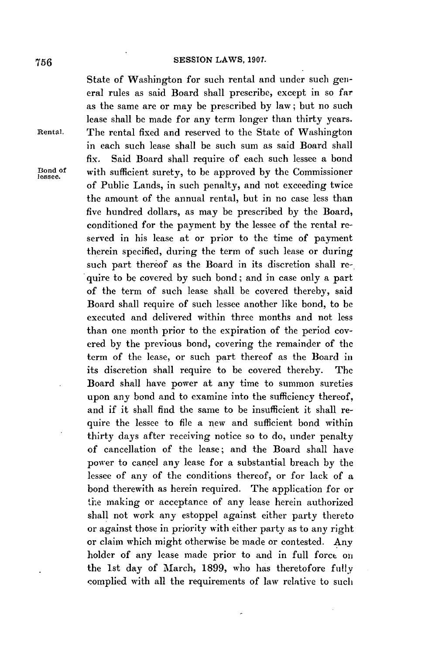State of Washington for such rental and under such **gen**eral rules as said Board shall prescribe, except in so far as the same are or may **be** prescribed **by** law; but no such lease shall be made for any term longer than thirty years. **Rental.** The rental fixed and reserved to the State of Washington in each such lease shall be such sum as said Board shall fix. Said Board shall require of each such lessee a bond **Dond Of** with sufficient surety, to be approved **by** the Commissioner **le.9see.** of Public Lands, in such penalty, and not exceeding twice the amount of the annual rental, but in no case less than five hundred dollars, as may be prescribed **by** the Board, conditioned for the payment **by** the lessee of the rental reserved in his lease at or prior to the time of payment therein specified, during the term of such lease or during such part thereof as the Board in its discretion shall require to be covered **by** such bond; and in case only a part of the term of such lease shall be covered thereby, said Board shall require of such lessee another like bond, to **be** executed and delivered within three months and not less than one month prior to the expiration of the period covered **by** the previous bond, covering the remainder of the term of the lease, or such part thereof as the Board in its discretion shall require to be covered thereby. The Board shall have power at any time to summon sureties upon any bond and to examine into the sufficiency thereof, and if it shall find the same to be insufficient it shall require the lessee to file a new and sufficient bond within thirty days after receiving notice so to do, under penalty of cancellation of the lease; and the Board shall have power to cancel any lease for a substantial breach **by** the lessee of any of the conditions thereof, or for lack of a bond therewith as herein required. The application for or the making or acceptance of any lease herein authorized shall not work any estoppel against either party thereto or against those in priority with either party as to any right or claim which might otherwise be made or contested. Any holder of any lease made prior to and in full force on the 1st day of March, **1899,** who has theretofore fully complied with all the requirements of law relative to such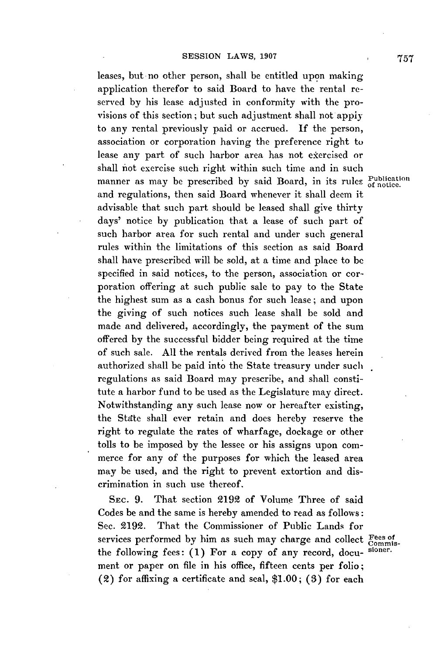### **SESSION LAWS, 1907**

leases, but no other person, shall be entitled upon making application therefor to said Board to have the rental reserved **by** his lease adjusted in conformity with the provisions of this section; but such adjustment shall not apply to any rental previously paid or accrued. **If** the person, association or corporation having the preference right to lease any part of such harbor area has not exercised or shall inot exercise such right within such time and in such manner as may be prescribed by said Board, in its rules *publication* and regulations, then said Board whenever it shall deem it advisable that such part should be leased shall give thirty days' notice **by** publication that a lease of such part of such harbor area for such rental and under such general rules within the limitations of this section as said Board shall have prescribed will be sold, at a time and place to **be** specified in said notices, to the person, association or corporation offering at such public sale to pay to the State the highest sum as a cash bonus for such lease; and upon the giving of such notices such lease shall be sold and made and delivered, accordingly, the payment of the sum offered **by** the successful bidder being required at the time of such sale. **All** the rentals derived from the leases herein authorized shall be paid into the State treasury under such regulations as said Board may prescribe, and shall constitute a harbor fund to be used as the Legislature may direct. Notwithstanding any such lease now or hereafter existing, the Stdte shall ever retain and does hereby reserve the right to regulate the rates of wharfage, dockage or other tolls to be imposed **by** the lessee or his assigns upon commerce for any of the purposes for which the leased area may be used, and the right to prevent extortion and discrimination in such use thereof.

SEc. **9.** That section 2192 of Volume Three of said Codes be and the same is hereby amended to read as follows: Sec. **2192.** That the Commissioner of Public Lands for services performed by him as such may charge and collect Fees of<br>the following fees: (1) For a copy of any record door signer. the following fees: (1) For a copy of any record, document or paper on file in his office, fifteen cents per folio; (2) for affixing a certificate and seal, **\$1.00; (3)** for each

**757**